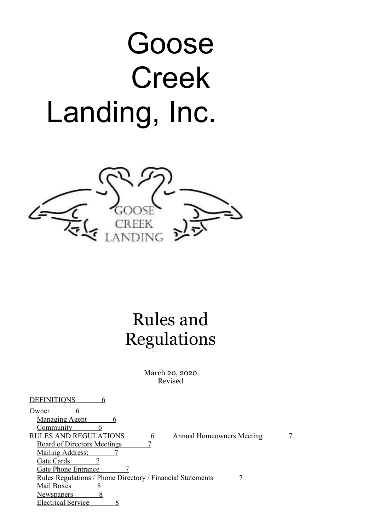# Goose Creek Landing, Inc.



# Rules and Regulations

March 20, 2020 Revised

| Owner                                                                     |  |
|---------------------------------------------------------------------------|--|
| <b>Managing Agent</b><br>n                                                |  |
| Community                                                                 |  |
| <b>LES AND REGULATIONS</b><br><b>Annual Homeowners Meeting</b><br>RU<br>6 |  |
| <b>Board of Directors Meetings</b>                                        |  |
| <b>Mailing Address:</b>                                                   |  |
| Gate Cards                                                                |  |
| Gate Phone Entrance                                                       |  |
| <u>Rules Regulations / Phone Directory / Financial Statements</u>         |  |
| Mail Boxes                                                                |  |
| <u>Newspapers</u>                                                         |  |
| <b>Electrical Service</b>                                                 |  |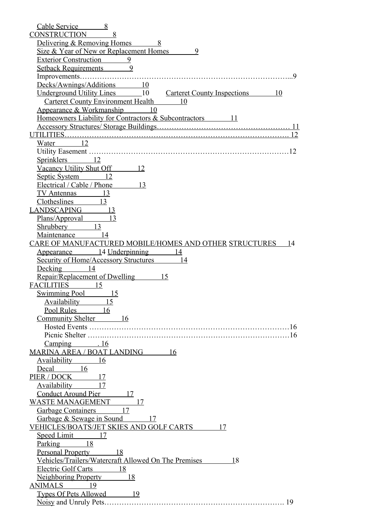| Cable Service<br>8                                                    |
|-----------------------------------------------------------------------|
| <b>CONSTRUCTION</b><br>8                                              |
| Delivering & Removing Homes<br>8                                      |
| Size & Year of New or Replacement Homes<br>9                          |
| Exterior Construction 9                                               |
| 9<br>Setback Requirements                                             |
| $\mathbf Q$                                                           |
| Decks/Awnings/Additions 10                                            |
| Underground Utility Lines 10<br><b>Carteret County Inspections</b> 10 |
| <b>Carteret County Environment Health</b> 10                          |
| Appearance & Workmanship 10                                           |
| Homeowners Liability for Contractors & Subcontractors 11              |
| <sup>11</sup>                                                         |
| 12                                                                    |
| $Water$ 12                                                            |
| 12                                                                    |
| Sprinklers 12                                                         |
| Vacancy Utility Shut Off 12                                           |
| Septic System<br>12                                                   |
| Electrical / Cable / Phone<br>13                                      |
| TV Antennas 13                                                        |
| Clotheslines 13                                                       |
| LANDSCAPING 13                                                        |
| Plans/Approval<br>13                                                  |
| 13<br>Shrubbery                                                       |
| Maintenance 14                                                        |
| CARE OF MANUFACTURED MOBILE/HOMES AND OTHER STRUCTURES<br>-14         |
| Appearance 14 Underpinning<br>14                                      |
| <b>Security of Home/Accessory Structures</b> 14                       |
| Decking 14                                                            |
| 15                                                                    |
| Repair/Replacement of Dwelling<br>FACILITIES 15                       |
|                                                                       |
| Swimming Pool 15<br>15                                                |
| Availability                                                          |
| Pool Rules 16                                                         |
| Community Shelter 16                                                  |
|                                                                       |
|                                                                       |
| $Camping$ . 16                                                        |
| MARINA AREA / BOAT LANDING 16                                         |
| Availability 16                                                       |
| Decal 16                                                              |
| PIER / DOCK 17                                                        |
| Availability 17                                                       |
| Conduct Around Pier 17                                                |
| WASTE MANAGEMENT 17                                                   |
| Garbage Containers 17                                                 |
| Garbage & Sewage in Sound 17                                          |
| <u>VEHICLES/BOATS/JET SKIES AND GOLF CARTS</u><br>17                  |
| Speed Limit 17                                                        |
| Parking 18                                                            |
| <u>Personal Property 18</u>                                           |
| <u>Vehicles/Trailers/Watercraft Allowed On The Premises 18</u>        |
| Electric Golf Carts 18                                                |
| Neighboring Property 18                                               |
| ANIMALS 19                                                            |
| Types Of Pets Allowed 19                                              |
|                                                                       |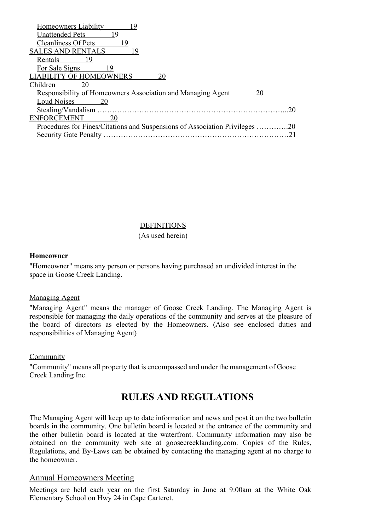| Homeowners Liability                                                     |     |
|--------------------------------------------------------------------------|-----|
| Unattended Pets<br>19                                                    |     |
| <b>Cleanliness Of Pets</b><br>19                                         |     |
| <b>SALES AND RENTALS</b><br>19                                           |     |
| - 19<br>Rentals                                                          |     |
| For Sale Signs<br>19                                                     |     |
| <b>LIABILITY OF HOMEOWNERS</b><br>20                                     |     |
| Children<br>20                                                           |     |
| <b>Responsibility of Homeowners Association and Managing Agent</b><br>20 |     |
| <b>Loud Noises</b><br>20                                                 |     |
|                                                                          | 20  |
| <b>ENFORCEMENT</b><br>20                                                 |     |
| Procedures for Fines/Citations and Suspensions of Association Privileges | .20 |
| <b>Security Gate Penalty</b>                                             |     |
|                                                                          |     |

#### DEFINITIONS

#### (As used herein)

#### **Homeowner**

"Homeowner" means any person or persons having purchased an undivided interest in the space in Goose Creek Landing.

#### Managing Agent

"Managing Agent" means the manager of Goose Creek Landing. The Managing Agent is responsible for managing the daily operations of the community and serves at the pleasure of the board of directors as elected by the Homeowners. (Also see enclosed duties and responsibilities of Managing Agent)

#### Community

"Community" means all property that is encompassed and under the management of Goose Creek Landing Inc.

# **RULES AND REGULATIONS**

The Managing Agent will keep up to date information and news and post it on the two bulletin boards in the community. One bulletin board is located at the entrance of the community and the other bulletin board is located at the waterfront. Community information may also be obtained on the community web site at goosecreeklanding.com. Copies of the Rules, Regulations, and By-Laws can be obtained by contacting the managing agent at no charge to the homeowner.

#### Annual Homeowners Meeting

Meetings are held each year on the first Saturday in June at 9:00am at the White Oak Elementary School on Hwy 24 in Cape Carteret.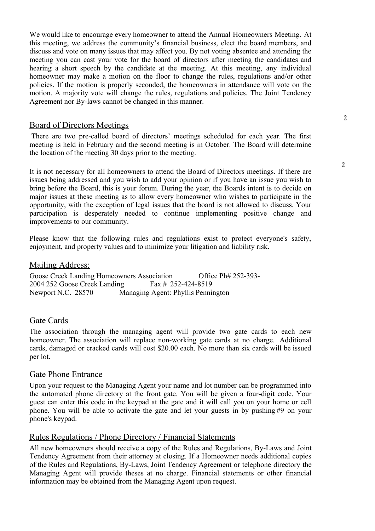We would like to encourage every homeowner to attend the Annual Homeowners Meeting. At this meeting, we address the community's financial business, elect the board members, and discuss and vote on many issues that may affect you. By not voting absentee and attending the meeting you can cast your vote for the board of directors after meeting the candidates and hearing a short speech by the candidate at the meeting. At this meeting, any individual homeowner may make a motion on the floor to change the rules, regulations and/or other policies. If the motion is properly seconded, the homeowners in attendance will vote on the motion. A majority vote will change the rules, regulations and policies. The Joint Tendency Agreement nor By-laws cannot be changed in this manner.

#### Board of Directors Meetings

There are two pre-called board of directors' meetings scheduled for each year. The first meeting is held in February and the second meeting is in October. The Board will determine the location of the meeting 30 days prior to the meeting.

It is not necessary for all homeowners to attend the Board of Directors meetings. If there are issues being addressed and you wish to add your opinion or if you have an issue you wish to bring before the Board, this is your forum. During the year, the Boards intent is to decide on major issues at these meeting as to allow every homeowner who wishes to participate in the opportunity, with the exception of legal issues that the board is not allowed to discuss. Your participation is desperately needed to continue implementing positive change and improvements to our community.

Please know that the following rules and regulations exist to protect everyone's safety, enjoyment, and property values and to minimize your litigation and liability risk.

#### Mailing Address:

Goose Creek Landing Homeowners Association Office Ph# 252-393-2004 252 Goose Creek Landing Fax # 252-424-8519 Newport N.C. 28570 Managing Agent: Phyllis Pennington

#### Gate Cards

The association through the managing agent will provide two gate cards to each new homeowner. The association will replace non-working gate cards at no charge. Additional cards, damaged or cracked cards will cost \$20.00 each. No more than six cards will be issued per lot.

#### Gate Phone Entrance

Upon your request to the Managing Agent your name and lot number can be programmed into the automated phone directory at the front gate. You will be given a four-digit code. Your guest can enter this code in the keypad at the gate and it will call you on your home or cell phone. You will be able to activate the gate and let your guests in by pushing #9 on your phone's keypad.

#### Rules Regulations / Phone Directory / Financial Statements

All new homeowners should receive a copy of the Rules and Regulations, By-Laws and Joint Tendency Agreement from their attorney at closing. If a Homeowner needs additional copies of the Rules and Regulations, By-Laws, Joint Tendency Agreement or telephone directory the Managing Agent will provide theses at no charge. Financial statements or other financial information may be obtained from the Managing Agent upon request.

 $\overline{2}$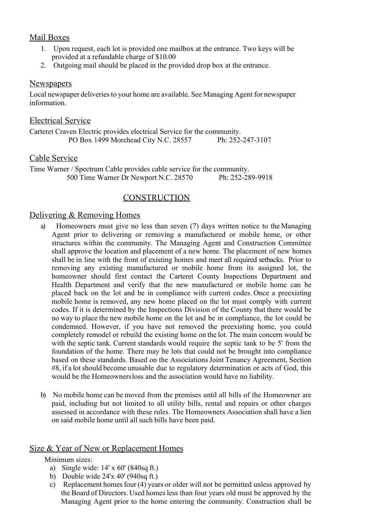#### Mail Boxes

- 1. Upon request, each lot is provided one mailbox at the entrance. Two keys will be provided at a refundable charge of \$10.00
- 2. Outgoing mail should be placed in the provided drop box at the entrance.

#### **Newspapers**

Local newspaper deliveries to your home are available. See Managing Agent for newspaper information.

#### Electrical Service

Carteret Craven Electric provides electrical Service for the community. PO Box 1499 Morehead City N.C. 28557 Ph: 252-247-3107

#### Cable Service

Time Warner / Spectrum Cable provides cable service for the community. 500 Time Warner Dr Newport N.C. 28570 Ph: 252-289-9918

#### **CONSTRUCTION**

#### Delivering & Removing Homes

- a) Homeowners must give no less than seven (7) days written notice to the Managing Agent prior to delivering or removing a manufactured or mobile home, or other structures within the community. The Managing Agent and Construction Committee shall approve the location and placement of a new home. The placement of new homes shall be in line with the front of existing homes and meet all required setbacks. Prior to removing any existing manufactured or mobile home from its assigned lot, the homeowner should first contact the Carteret County Inspections Department and Health Department and verify that the new manufactured or mobile home can be placed back on the lot and be in compliance with current codes. Once a preexisting mobile home is removed, any new home placed on the lot must comply with current codes. If it is determined by the Inspections Division of the County that there would be no way to place the new mobile home on the lot and be in compliance, the lot could be condemned. However, if you have not removed the preexisting home, you could completely remodel or rebuild the existing home on the lot. The main concern would be with the septic tank. Current standards would require the septic tank to be 5' from the foundation of the home. There may be lots that could not be brought into compliance based on these standards. Based on the Associations Joint Tenancy Agreement, Section  $#8$ , if a lot should become unusable due to regulatory determination or acts of God, this would be the Homeownersloss and the association would have no liability.
- b) No mobile home can be moved from the premises until all bills of the Homeowner are paid, including but not limited to all utility bills, rental and repairs or other charges assessed in accordance with these rules. The Homeowners Association shall have a lien on said mobile home until all such bills have been paid.

#### Size & Year of New or Replacement Homes

Minimum sizes:

- a) Single wide: 14' x 60' (840sq ft.)
- b) Double wide  $24'x 40' (940sq ft.)$
- c) Replacement homes four  $(4)$  years or older will not be permitted unless approved by the Board of Directors. Used homesless than four years old must be approved by the Managing Agent prior to the home entering the community. Construction shall be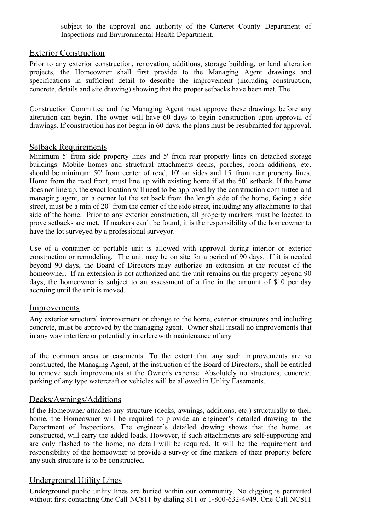subject to the approval and authority of the Carteret County Department of Inspections and Environmental Health Department.

#### Exterior Construction

Prior to any exterior construction, renovation, additions, storage building, or land alteration projects, the Homeowner shall first provide to the Managing Agent drawings and specifications in sufficient detail to describe the improvement (including construction, concrete, details and site drawing) showing that the proper setbacks have been met. The

Construction Committee and the Managing Agent must approve these drawings before any alteration can begin. The owner will have 60 days to begin construction upon approval of drawings. If construction has not begun in 60 days, the plans must be resubmitted for approval.

#### Setback Requirements

Minimum 5' from side property lines and 5' from rear property lines on detached storage buildings. Mobile homes and structural attachments decks, porches, room additions, etc. should be minimum 50' from center of road, 10' on sides and 15' from rear property lines. Home from the road front, must line up with existing home if at the 50' setback. If the home does not line up, the exact location will need to be approved by the construction committee and managing agent, on a corner lot the set back from the length side of the home, facing a side street, must be a min of 20' from the center of the side street, including any attachments to that side of the home. Prior to any exterior construction, all property markers must be located to prove setbacks are met. If markers can't be found, it is the responsibility of the homeowner to have the lot surveyed by a professional surveyor.

Use of a container or portable unit is allowed with approval during interior or exterior construction or remodeling. The unit may be on site for a period of 90 days. If it is needed beyond 90 days, the Board of Directors may authorize an extension at the request of the homeowner. If an extension is not authorized and the unit remains on the property beyond 90 days, the homeowner is subject to an assessment of a fine in the amount of \$10 per day accruing until the unit is moved.

#### Improvements

Any exterior structural improvement or change to the home, exterior structures and including concrete, must be approved by the managing agent. Owner shall install no improvements that in any way interfere or potentially interferewith maintenance of any

of the common areas or easements. To the extent that any such improvements are so constructed, the Managing Agent, at the instruction of the Board of Directors., shall be entitled to remove such improvements at the Owner's expense. Absolutely no structures, concrete, parking of any type watercraft or vehicles will be allowed in Utility Easements.

#### Decks/Awnings/Additions

If the Homeowner attaches any structure (decks, awnings, additions, etc.) structurally to their home, the Homeowner will be required to provide an engineer's detailed drawing to the Department of Inspections. The engineer's detailed drawing shows that the home, as constructed, will carry the added loads. However, if such attachments are self-supporting and are only flashed to the home, no detail will be required. It will be the requirement and responsibility of the homeowner to provide a survey or fine markers of their property before any such structure is to be constructed.

#### Underground Utility Lines

Underground public utility lines are buried within our community. No digging is permitted without first contacting One Call NC811 by dialing 811 or 1-800-632-4949. One Call NC811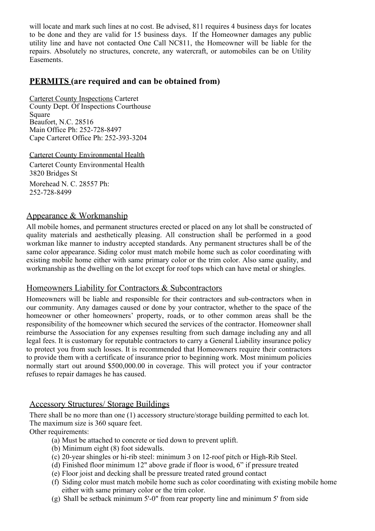will locate and mark such lines at no cost. Be advised, 811 requires 4 business days for locates to be done and they are valid for 15 business days. If the Homeowner damages any public utility line and have not contacted One Call NC811, the Homeowner will be liable for the repairs. Absolutely no structures, concrete, any watercraft, or automobiles can be on Utility Easements.

#### **PERMITS (are required and can be obtained from)**

Carteret County Inspections Carteret County Dept. Of Inspections Courthouse **Square** Beaufort, N.C. 28516 Main Office Ph: 252-728-8497 Cape Carteret Office Ph: 252-393-3204

Carteret County Environmental Health Carteret County Environmental Health 3820 Bridges St Morehead N. C. 28557 Ph: 252-728-8499

#### Appearance & Workmanship

All mobile homes, and permanent structures erected or placed on any lot shall be constructed of quality materials and aesthetically pleasing. All construction shall be performed in a good workman like manner to industry accepted standards. Any permanent structures shall be of the same color appearance. Siding color must match mobile home such as color coordinating with existing mobile home either with same primary color or the trim color. Also same quality, and workmanship as the dwelling on the lot except for roof tops which can have metal or shingles.

#### Homeowners Liability for Contractors & Subcontractors

Homeowners will be liable and responsible for their contractors and sub-contractors when in our community. Any damages caused or done by your contractor, whether to the space of the homeowner or other homeowners' property, roads, or to other common areas shall be the responsibility of the homeowner which secured the services of the contractor. Homeowner shall reimburse the Association for any expenses resulting from such damage including any and all legal fees. It is customary for reputable contractors to carry a General Liability insurance policy to protect you from such losses. It is recommended that Homeowners require their contractors to provide them with a certificate of insurance prior to beginning work. Most minimum policies normally start out around \$500,000.00 in coverage. This will protect you if your contractor refuses to repair damages he has caused.

#### Accessory Structures/ Storage Buildings

There shall be no more than one (1) accessory structure/storage building permitted to each lot. The maximum size is 360 square feet.

Other requirements:

- (a) Must be attached to concrete or tied down to prevent uplift.
- (b) Minimum eight (8) foot sidewalls.
- (c) 20-year shingles or hi-rib steel: minimum 3 on 12-roof pitch or High-Rib Steel.
- (d) Finished floor minimum 12" above grade if floor is wood, 6" if pressure treated
- (e) Floor joist and decking shall be pressure treated rated ground contact
- (f) Siding color must match mobile home such as color coordinating with existing mobile home either with same primary color or the trim color.
- (g) Shall be setback minimum 5'-0" from rear property line and minimum 5' from side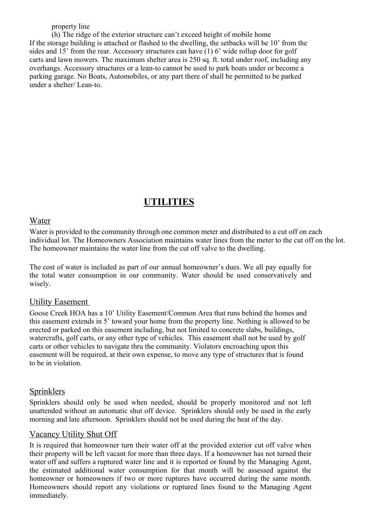property line

(h) The ridge of the exterior structure can't exceed height of mobile home If the storage building is attached or flashed to the dwelling, the setbacks will be 10' from the sides and 15' from the rear. Accessory structures can have (1) 6' wide rollup door for golf carts and lawn mowers. The maximum shelter area is 250 sq. ft. total under roof, including any overhangs. Accessory structures or a lean-to cannot be used to park boats under or become a parking garage. No Boats, Automobiles, or any part there of shall be permitted to be parked under a shelter/ Lean-to.

# **UTILITIES**

#### Water

Water is provided to the community through one common meter and distributed to a cut off on each individual lot. The Homeowners Association maintains water lines from the meter to the cut off on the lot. The homeowner maintains the water line from the cut off valve to the dwelling.

The cost of water is included as part of our annual homeowner's dues. We all pay equally for the total water consumption in our community. Water should be used conservatively and wisely.

#### Utility Easement

Goose Creek HOA has a 10' Utility Easement/Common Area that runs behind the homes and this easement extends in 5' toward your home from the property line. Nothing is allowed to be erected or parked on this easement including, but not limited to concrete slabs, buildings, watercrafts, golf carts, or any other type of vehicles. This easement shall not be used by golf carts or other vehicles to navigate thru the community. Violators encroaching upon this easement will be required, at their own expense, to move any type of structures that is found to be in violation.

#### **Sprinklers**

Sprinklers should only be used when needed, should be properly monitored and not left unattended without an automatic shut off device. Sprinklers should only be used in the early morning and late afternoon. Sprinklers should not be used during the heat of the day.

#### Vacancy Utility Shut Off

It is required that homeowner turn their water off at the provided exterior cut off valve when their property will be left vacant for more than three days. If a homeowner has not turned their water off and suffers a ruptured water line and it is reported or found by the Managing Agent, the estimated additional water consumption for that month will be assessed against the homeowner or homeowners if two or more ruptures have occurred during the same month. Homeowners should report any violations or ruptured lines found to the Managing Agent immediately.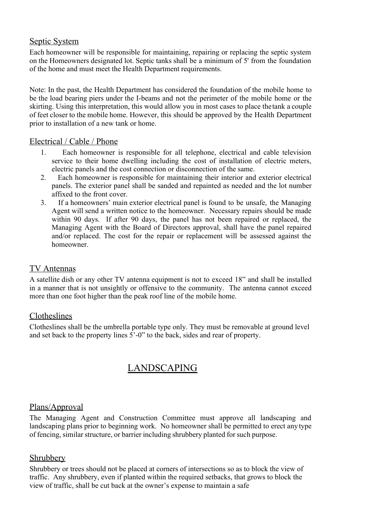#### Septic System

Each homeowner will be responsible for maintaining, repairing or replacing the septic system on the Homeowners designated lot. Septic tanks shall be a minimum of 5' from the foundation of the home and must meet the Health Department requirements.

Note: In the past, the Health Department has considered the foundation of the mobile home to be the load bearing piers under the I-beams and not the perimeter of the mobile home or the skirting. Using this interpretation, this would allow you in most cases to place the tank a couple of feet closer to the mobile home. However, this should be approved by the Health Department prior to installation of a new tank or home.

#### Electrical / Cable / Phone

- 1. Each homeowner is responsible for all telephone, electrical and cable television service to their home dwelling including the cost of installation of electric meters, electric panels and the cost connection or disconnection of the same.
- 2. Each homeowner is responsible for maintaining their interior and exterior electrical panels. The exterior panel shall be sanded and repainted as needed and the lot number affixed to the front cover.
- 3. If a homeowners' main exterior electrical panel is found to be unsafe, the Managing Agent will send a written notice to the homeowner. Necessary repairs should be made within 90 days. If after 90 days, the panel has not been repaired or replaced, the Managing Agent with the Board of Directors approval, shall have the panel repaired and/or replaced. The cost for the repair or replacement will be assessed against the homeowner.

#### TV Antennas

A satellite dish or any other TV antenna equipment is not to exceed 18" and shall be installed in a manner that is not unsightly or offensive to the community. The antenna cannot exceed more than one foot higher than the peak roof line of the mobile home.

#### Clotheslines

Clotheslines shall be the umbrella portable type only. They must be removable at ground level and set back to the property lines 5'-0" to the back, sides and rear of property.

# LANDSCAPING

#### Plans/Approval

The Managing Agent and Construction Committee must approve all landscaping and landscaping plans prior to beginning work. No homeowner shall be permitted to erect any type of fencing, similar structure, or barrier including shrubbery planted forsuch purpose.

#### Shrubbery

Shrubbery or trees should not be placed at corners of intersections so as to block the view of traffic. Any shrubbery, even if planted within the required setbacks, that grows to block the view of traffic, shall be cut back at the owner's expense to maintain a safe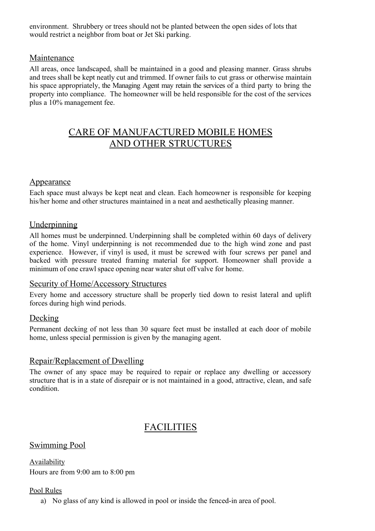environment.Shrubbery or trees should not be planted between the open sides of lots that would restrict a neighbor from boat or Jet Ski parking.

#### Maintenance

All areas, once landscaped, shall be maintained in a good and pleasing manner. Grass shrubs and trees shall be kept neatly cut and trimmed. If owner fails to cut grass or otherwise maintain his space appropriately, the Managing Agent may retain the services of a third party to bring the property into compliance. The homeowner will be held responsible for the cost of the services plus a 10% management fee.

# CARE OF MANUFACTURED MOBILE HOMES AND OTHER STRUCTURES

#### Appearance

Each space must always be kept neat and clean. Each homeowner is responsible for keeping his/her home and other structures maintained in a neat and aesthetically pleasing manner.

#### Underpinning

All homes must be underpinned. Underpinning shall be completed within 60 days of delivery of the home. Vinyl underpinning is not recommended due to the high wind zone and past experience. However, if vinyl is used, it must be screwed with four screws per panel and backed with pressure treated framing material for support. Homeowner shall provide a minimum of one crawl space opening near water shut off valve for home.

#### Security of Home/Accessory Structures

Every home and accessory structure shall be properly tied down to resist lateral and uplift forces during high wind periods.

#### Decking

Permanent decking of not less than 30 square feet must be installed at each door of mobile home, unless special permission is given by the managing agent.

#### Repair/Replacement of Dwelling

The owner of any space may be required to repair or replace any dwelling or accessory structure that is in a state of disrepair or is not maintained in a good, attractive, clean, and safe condition.

# FACILITIES

#### Swimming Pool

Availability Hours are from 9:00 am to 8:00 pm

#### Pool Rules

a) No glass of any kind is allowed in pool or inside the fenced-in area of pool.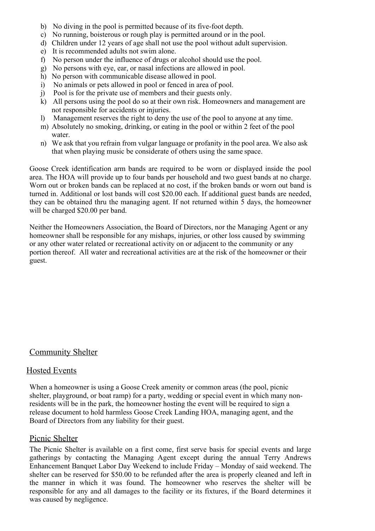- b) No diving in the pool is permitted because of its five-foot depth.
- c) No running, boisterous or rough play is permitted around or in the pool.
- d) Children under 12 years of age shall not use the pool without adult supervision.
- e) It is recommended adults not swim alone.
- f) No person under the influence of drugs or alcohol should use the pool.
- g) No persons with eye, ear, or nasal infections are allowed in pool.
- h) No person with communicable disease allowed in pool.
- i) No animals or pets allowed in pool or fenced in area of pool.
- j) Pool is for the private use of members and their guests only.
- k) All persons using the pool do so at their own risk. Homeowners and management are not responsible for accidents or injuries.
- l) Management reserves the right to deny the use of the pool to anyone at any time.
- m) Absolutely no smoking, drinking, or eating in the pool or within 2 feet of the pool water.
- n) We ask that you refrain from vulgar language or profanity in the pool area. We also ask that when playing music be considerate of others using the same space.

Goose Creek identification arm bands are required to be worn or displayed inside the pool area. The HOA will provide up to four bands per household and two guest bands at no charge. Worn out or broken bands can be replaced at no cost, if the broken bands or worn out band is turned in. Additional or lost bands will cost \$20.00 each. If additional guest bands are needed, they can be obtained thru the managing agent. If not returned within 5 days, the homeowner will be charged \$20.00 per band.

Neither the Homeowners Association, the Board of Directors, nor the Managing Agent or any homeowner shall be responsible for any mishaps, injuries, or other loss caused by swimming or any other water related or recreational activity on or adjacent to the community or any portion thereof. All water and recreational activities are at the risk of the homeowner or their guest.

#### Community Shelter

#### Hosted Events

When a homeowner is using a Goose Creek amenity or common areas (the pool, picnic shelter, playground, or boat ramp) for a party, wedding or special event in which many nonresidents will be in the park, the homeowner hosting the event will be required to sign a release document to hold harmless Goose Creek Landing HOA, managing agent, and the Board of Directors from any liability for their guest.

#### Picnic Shelter

The Picnic Shelter is available on a first come, first serve basis for special events and large gatherings by contacting the Managing Agent except during the annual Terry Andrews Enhancement Banquet Labor Day Weekend to include Friday – Monday of said weekend. The shelter can be reserved for \$50.00 to be refunded after the area is properly cleaned and left in the manner in which it was found. The homeowner who reserves the shelter will be responsible for any and all damages to the facility or its fixtures, if the Board determines it was caused by negligence.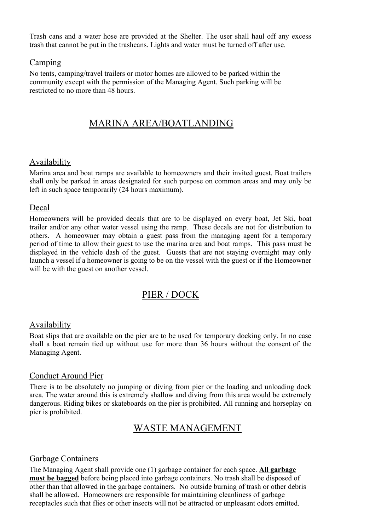Trash cans and a water hose are provided at the Shelter. The user shall haul off any excess trash that cannot be put in the trashcans. Lights and water must be turned off after use.

#### Camping

No tents, camping/travel trailers or motor homes are allowed to be parked within the community except with the permission of the Managing Agent. Such parking will be restricted to no more than 48 hours.

# MARINA AREA/BOATLANDING

#### Availability

Marina area and boat ramps are available to homeowners and their invited guest. Boat trailers shall only be parked in areas designated for such purpose on common areas and may only be left in such space temporarily (24 hours maximum).

#### Decal

Homeowners will be provided decals that are to be displayed on every boat, Jet Ski, boat trailer and/or any other water vessel using the ramp. These decals are not for distribution to others. A homeowner may obtain a guest pass from the managing agent for a temporary period of time to allow their guest to use the marina area and boat ramps. This pass must be displayed in the vehicle dash of the guest. Guests that are not staying overnight may only launch a vessel if a homeowner is going to be on the vessel with the guest or if the Homeowner will be with the guest on another vessel.

# PIER / DOCK

#### Availability

Boat slips that are available on the pier are to be used for temporary docking only. In no case shall a boat remain tied up without use for more than 36 hours without the consent of the Managing Agent.

#### Conduct Around Pier

There is to be absolutely no jumping or diving from pier or the loading and unloading dock area. The water around this is extremely shallow and diving from this area would be extremely dangerous. Riding bikes or skateboards on the pier is prohibited. All running and horseplay on pier is prohibited.

# WASTE MANAGEMENT

#### Garbage Containers

The Managing Agent shall provide one (1) garbage container for each space. **All garbage must be bagged** before being placed into garbage containers. No trash shall be disposed of other than that allowed in the garbage containers. No outside burning of trash or other debris shall be allowed. Homeowners are responsible for maintaining cleanliness of garbage receptacles such that flies or other insects will not be attracted or unpleasant odors emitted.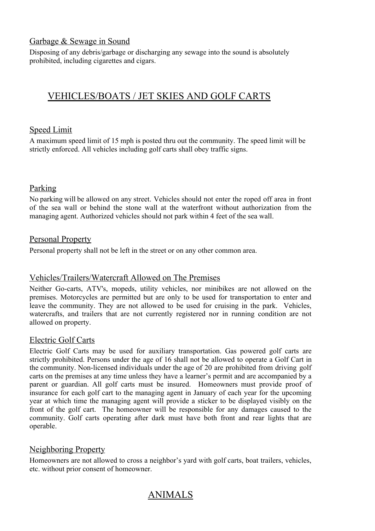#### Garbage & Sewage in Sound

Disposing of any debris/garbage or discharging any sewage into the sound is absolutely prohibited, including cigarettes and cigars.

# VEHICLES/BOATS / JET SKIES AND GOLF CARTS

#### Speed Limit

A maximum speed limit of 15 mph is posted thru out the community. The speed limit will be strictly enforced. All vehicles including golf carts shall obey traffic signs.

#### Parking

No parking will be allowed on any street. Vehicles should not enter the roped off area in front of the sea wall or behind the stone wall at the waterfront without authorization from the managing agent. Authorized vehicles should not park within 4 feet of the sea wall.

#### Personal Property

Personal property shall not be left in the street or on any other common area.

#### Vehicles/Trailers/Watercraft Allowed on The Premises

Neither Go-carts, ATV's, mopeds, utility vehicles, nor minibikes are not allowed on the premises. Motorcycles are permitted but are only to be used for transportation to enter and leave the community. They are not allowed to be used for cruising in the park. Vehicles, watercrafts, and trailers that are not currently registered nor in running condition are not allowed on property.

#### Electric Golf Carts

Electric Golf Carts may be used for auxiliary transportation. Gas powered golf carts are strictly prohibited. Persons under the age of 16 shall not be allowed to operate a Golf Cart in the community. Non-licensed individuals under the age of 20 are prohibited from driving golf carts on the premises at any time unless they have a learner's permit and are accompanied by a parent or guardian. All golf carts must be insured. Homeowners must provide proof of insurance for each golf cart to the managing agent in January of each year for the upcoming year at which time the managing agent will provide a sticker to be displayed visibly on the front of the golf cart. The homeowner will be responsible for any damages caused to the community. Golf carts operating after dark must have both front and rear lights that are operable.

#### Neighboring Property

Homeowners are not allowed to cross a neighbor's yard with golf carts, boat trailers, vehicles, etc. without prior consent of homeowner.

# ANIMALS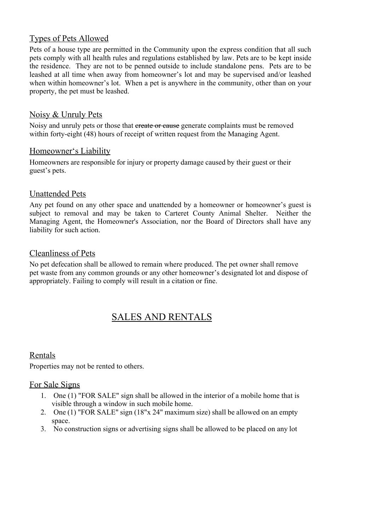#### Types of Pets Allowed

Pets of a house type are permitted in the Community upon the express condition that all such pets comply with all health rules and regulations established by law. Pets are to be kept inside the residence. They are not to be penned outside to include standalone pens. Pets are to be leashed at all time when away from homeowner's lot and may be supervised and/or leashed when within homeowner's lot. When a pet is anywhere in the community, other than on your property, the pet must be leashed.

#### Noisy & Unruly Pets

Noisy and unruly pets or those that create or cause generate complaints must be removed within forty-eight (48) hours of receipt of written request from the Managing Agent.

#### Homeowner's Liability

Homeowners are responsible for injury or property damage caused by their guest or their guest's pets.

#### Unattended Pets

Any pet found on any other space and unattended by a homeowner or homeowner's guest is subject to removal and may be taken to Carteret County Animal Shelter. Neither the Managing Agent, the Homeowner's Association, nor the Board of Directors shall have any liability for such action.

#### Cleanliness of Pets

No pet defecation shall be allowed to remain where produced. The pet owner shall remove pet waste from any common grounds or any other homeowner's designated lot and dispose of appropriately. Failing to comply will result in a citation or fine.

# SALES AND RENTALS

#### Rentals

Properties may not be rented to others.

#### For Sale Signs

- 1. One (1) "FOR SALE" sign shall be allowed in the interior of a mobile home that is visible through a window in such mobile home.
- 2. One (1) "FOR SALE" sign (18"x 24" maximum size) shall be allowed on an empty space.
- 3. No construction signs or advertising signs shall be allowed to be placed on any lot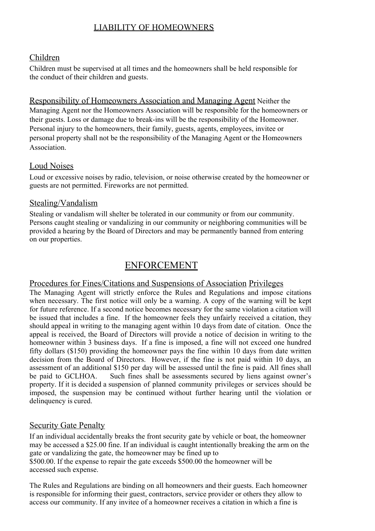# LIABILITY OF HOMEOWNERS

#### Children

Children must be supervised at all times and the homeowners shall be held responsible for the conduct of their children and guests.

Responsibility of Homeowners Association and Managing Agent Neither the Managing Agent nor the Homeowners Association will be responsible for the homeowners or their guests. Loss or damage due to break-ins will be the responsibility of the Homeowner. Personal injury to the homeowners, their family, guests, agents, employees, invitee or personal property shall not be the responsibility of the Managing Agent or the Homeowners Association.

#### Loud Noises

Loud or excessive noises by radio, television, or noise otherwise created by the homeowner or guests are not permitted. Fireworks are not permitted.

#### Stealing/Vandalism

Stealing or vandalism will shelter be tolerated in our community or from our community. Persons caught stealing or vandalizing in our community or neighboring communities will be provided a hearing by the Board of Directors and may be permanently banned from entering on our properties.

### ENFORCEMENT

#### Procedures for Fines/Citations and Suspensions of Association Privileges

The Managing Agent will strictly enforce the Rules and Regulations and impose citations when necessary. The first notice will only be a warning. A copy of the warning will be kept for future reference. If a second notice becomes necessary for the same violation a citation will be issued that includes a fine. If the homeowner feels they unfairly received a citation, they should appeal in writing to the managing agent within 10 days from date of citation. Once the appeal is received, the Board of Directors will provide a notice of decision in writing to the homeowner within 3 business days. If a fine is imposed, a fine will not exceed one hundred fifty dollars (\$150) providing the homeowner pays the fine within 10 days from date written decision from the Board of Directors. However, if the fine is not paid within 10 days, an assessment of an additional \$150 per day will be assessed until the fine is paid. All fines shall be paid to GCLHOA. Such fines shall be assessments secured by liens against owner's property. If it is decided a suspension of planned community privileges or services should be imposed, the suspension may be continued without further hearing until the violation or delinquency is cured.

#### Security Gate Penalty

If an individual accidentally breaks the front security gate by vehicle or boat, the homeowner may be accessed a \$25.00 fine. If an individual is caught intentionally breaking the arm on the gate or vandalizing the gate, the homeowner may be fined up to \$500.00. If the expense to repair the gate exceeds \$500.00 the homeowner will be accessed such expense.

The Rules and Regulations are binding on all homeowners and their guests. Each homeowner is responsible for informing their guest, contractors, service provider or others they allow to access our community. If any invitee of a homeowner receives a citation in which a fine is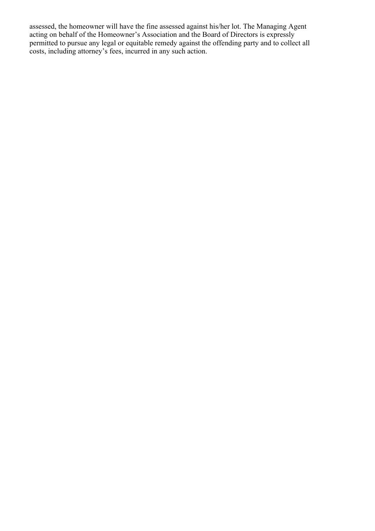assessed, the homeowner will have the fine assessed against his/her lot. The Managing Agent acting on behalf of the Homeowner's Association and the Board of Directors is expressly permitted to pursue any legal or equitable remedy against the offending party and to collect all costs, including attorney's fees, incurred in any such action.